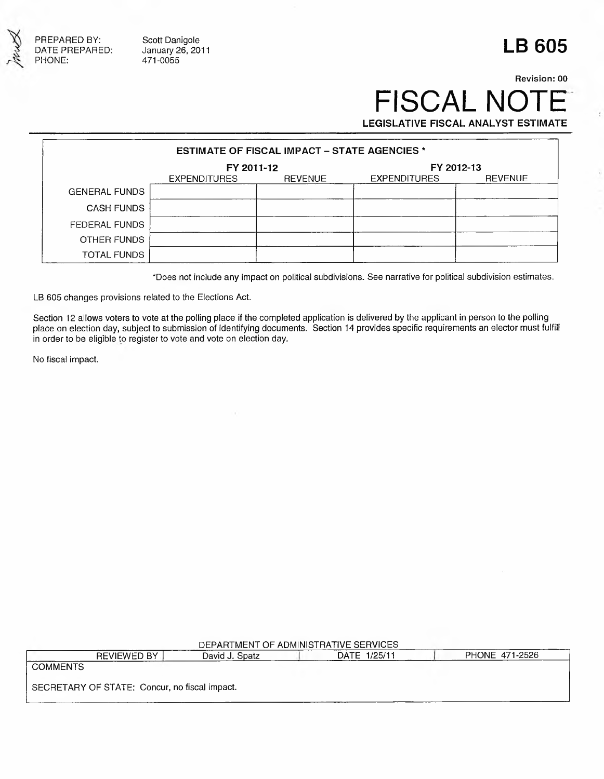

PREPARED BY: Scott Danigole<br>DATE PREPARED: January 26, 2011

### **LB 605**

### **Revision: 00 FISCAL NOT LEGISLATIVE FISCAL ANALYST ESTIMATE**

**ESTIMATE OF FISCAL IMPACT - STATE AGENCIES \* FY 2011-12** FY 2011-12<br>EXPENDITURES REVENUE EXPENDITURES EXPENDITURES REVENUE EXPENDITURES REVENUE GENERAL FUNDS CASH FUNDS FEDERAL FUNDS OTHER FUNDS TOTAL FUNDS

\*Does not include any impact on political subdivisions. See narrative for political subdivision estimates.

LB 605 changes provisions related to the Elections Act.

Section 12 allows voters to vote at the polling place if the completed application is delivered by the applicant in person to the polling place on election day, subject to submission of identifying documents. Section 14 provides specific requirements an elector must fulfill in order to be eligible to register to vote and vote on election day.

No fiscal impact.

### DEPARTMENT OF ADMINISTRATIVE SERVICES

REVIEWED BY **David J. Spatz DATE 1/25/11** PHONE 471-2526 COMMENTS SECRETARY OF STATE: Concur, no fiscal impact.